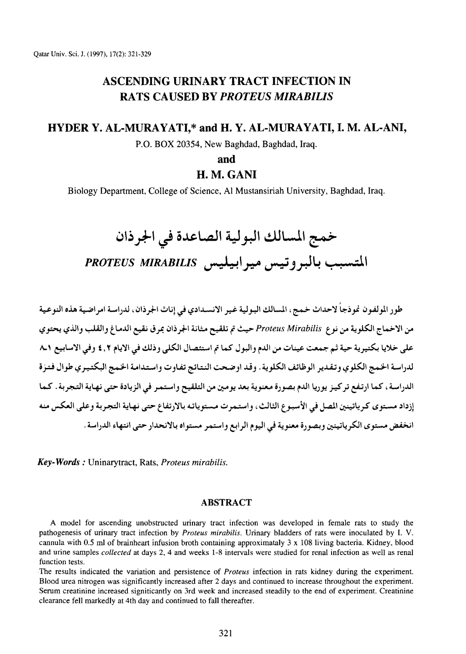# ASCENDING URINARY TRACT INFECTION IN RATS CAUSED BY *PROTEUS MIRABILIS*

# HYDER Y. AL-MURAYATI,\* and H. Y. AL-MURAYATI, I. M. AL-ANI,

P.O. BOX 20354, New Baghdad, Baghdad, Iraq.

and

# H. M. GANI

Biology Department, College of Science, AI Mustansiriah University, Baghdad, Iraq.

خمج المسالك البولية الصاعدة في ا<del>ل</del>جرذان المتسبب بالبروتيس ميرابيليس PROTEUS MIRABILIS

طور المولفون نموذجاً لاحداث خمج، المسالك البولية غير الانسـدادي في إناث الجرذان، لدراسة امراضية هذه النوعية من الاخماج الكلوية من نوع *Proteus Mirabilis ح*يث تم تلقيح مثانة الجرذان بمرق نقيع الدماغ والقلب والذي يحتوي على خلايا بكتيرية حية ثم جمعت عينات من الدم والبول كما تم استئصال الكلي وذلك في الايام ٤,٢ وفي الاسابيع ٨.١ لدراسة الخمج الكلوي وتقدير الوظائف الكلوية. وقد اوضحت النتائج تفاوت واستدامة الخمج البكتيري طوال فتزة الدراسة ، كما ارتفع تركيز يوريا الدم بصورة معنوية بعد يومين من التلقيح واستمر في الزيادة حتى نهاية التجربة . كما إزداد مستوى كرياتينين المصل في الأسبوع الثالث، واستمرت مستوياته بالارتفاع حتى نهاية التجربة وعلى العكس منه انخفض مستوى الكرياتينين وبصورة معنوية في اليوم الرابع واستمر مستواه بالانحدار حتى انتهاء الدراسة .

*Key- Words:* Uninarytract, Rats, *Proteus mirabilis.* 

# ABSTRACT

A model for ascending unobstructed urinary tract infection was developed in female rats to study the pathogenesis of urinary tract infection by *Proteus mirabilis.* Urinary bladders of rats were inoculated by I. V. cannula with 0.5 ml of brainheart infusion broth containing approximataly 3 x 108 living bacteria. Kidney, blood and urine samples *collected* at days 2, 4 and weeks 1-8 intervals were studied for renal infection as well as renal function tests.

The results indicated the variation and persistence of *Proteus* infection in rats kidney during the experiment. Blood urea nitrogen was significantly increased after 2 days and continued to increase throughout the experiment. Serum creatinine increased signiticantly on 3rd week and increased steadily to the end of experiment. Creatinine clearance fell markedly at 4th day and continued to fall thereafter.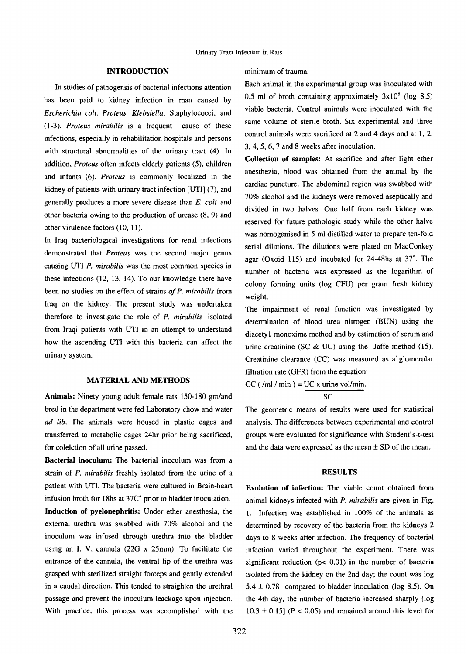### INTRODUCTION

In studies of pathogensis of bacterial infections attention has been paid to kidney infection in man caused by *Escherichia coli, Proteus, Klebsiella,* Staphylococci, and ( 1-3 ). *Proteus mirabilis* is a frequent cause of these infections, especially in rehabilitation hospitals and persons with structural abnormalities of the urinary tract (4). In addition, *Proteus* often infects elderly patients (5), children and infants (6). *Proteus* is commonly localized in the kidney of patients with urinary tract infection [UTI] (7), and generally produces a more severe disease than *E. coli* and other bacteria owing to the production of urease (8, 9) and other virulence factors (10, 11).

In Iraq bacteriological investigations for renal infections demonstrated that *Proteus* was the second major genus causing UTI *P. mirabilis* was the most common species in these infections (12, 13, 14). To our knowledge there have been no studies on the effect of strains *of P. mirabilis* from Iraq on the kidney. The present study was undertaken therefore to investigate the role of *P. mirabilis* isolated from Iraqi patients with UTI in an attempt to understand how the ascending UTI with this bacteria can affect the urinary system.

#### MATERIAL AND METHODS

Animals: Ninety young adult female rats 150-180 gm/and bred in the department were fed Laboratory chow and water ad *lib.* The animals were housed in plastic cages and transferred to metabolic cages 24hr prior being sacrificed, for colelction of all urine passed.

Bacterial inoculum: The bacterial inoculum was from a strain of *P. mirabilis* freshly isolated from the urine of a patient with UTI. The bacteria were cultured in Brain-heart infusion broth for 18hs at 37C<sup>°</sup> prior to bladder inoculation. Induction of pyelonephritis: Under ether anesthesia, the external urethra was swabbed with 70% alcohol and the inoculum was infused through urethra into the bladder using an I. V. cannula (22G x 25mm). To facilitate the entrance of the cannula, the ventral lip of the urethra was grasped with sterilized straight forceps and gently extended in a caudal direction. This tended to straighten the urethral passage and prevent the inoculum leackage upon injection. With practice, this process was accomplished with the

minimum of trauma.

Each animal in the experimental group was inoculated with 0.5 ml of broth containing approximately  $3x10^8$  (log 8.5) viable bacteria. Control animals were inoculated with the same volume of sterile broth. Six experimental and three control animals were sacrificed at 2 and 4 days and at 1, 2, 3, 4, 5, 6, 7 and 8 weeks after inoculation.

Collection of samples: At sacrifice and after light ether anesthezia, blood was obtained from the animal by the cardiac puncture. The abdominal region was swabbed with 70% alcohol and the kidneys were removed aseptically and divided in two halves. One half from each kidney was reserved for future pathologic study while the other halve was homogenised in 5 ml distilled water to prepare ten-fold serial dilutions. The dilutions were plated on MacConkey agar (Oxoid ll5) and incubated for 24-48hs at 37". The number of bacteria was expressed as the logarithm of colony forming units (log CFU) per gram fresh kidney weight.

The impairment of renal function was investigated by determination of blood urea nitrogen (BUN) using the diacety 1 monoxime method and by estimation of serum and urine creatinine (SC & UC) using the Jaffe method (15). Creatinine clearance (CC) was measured as a glomerular filtration rate (GFR) from the equation:

 $CC$  ( $/ml / min$ ) = UC x urine vol/min.

$$
\overline{\text{SC}}
$$

The geometric means of results were used for statistical analysis. The differences between experimental and control groups were evaluated for significance with Student's-t-test and the data were expressed as the mean  $\pm$  SD of the mean.

## **RESULTS**

Evolution of infection: The viable count obtained from animal kidneys infected with *P. mirabilis* are given in Fig. L Infection was established in 100% of the animals as determined by recovery of the bacteria from the kidneys 2 days to 8 weeks after infection. The frequency of bacterial infection varied throughout the experiment. There was significant reduction ( $p$ < 0.01) in the number of bacteria isolated from the kidney on the 2nd day; the count was log 5.4  $\pm$  0.78 compared to bladder inoculation (log 8.5). On the 4th day, the number of bacteria increased sharply [log  $10.3 \pm 0.15$ ] (P < 0.05) and remained around this level for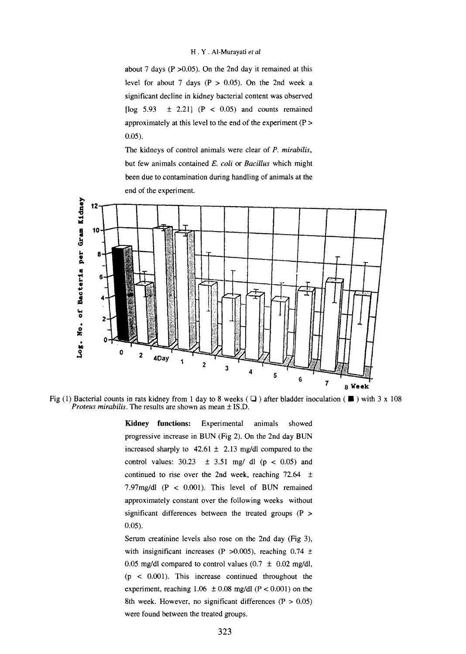#### H . Y . Al-Murayati *et al*

about 7 days ( $P > 0.05$ ). On the 2nd day it remained at this level for about 7 days ( $P > 0.05$ ). On the 2nd week a significant decline in kidney bacterial content was observed [ $log 5.93 \pm 2.21$ ]  $(P < 0.05)$  and counts remained approximately at this level to the end of the experiment (P > 0.05).

The kidneys of control animals were clear of *P. mirabilis,*  but few animals contained *E. coli* or *Bacillus* which might been due to contamination during handling of animals at the end of the experiment.



Fig (1) Bacterial counts in rats kidney from 1 day to 8 weeks ( $\Box$ ) after bladder inoculation ( $\Box$ ) with 3 x 108 *Proteus mirabilis.* The results are shown as mean ± IS.D.

**Kidney functions:** Experimental animals showed progressive increase in BUN (Fig 2). On the 2nd day BUN increased sharply to  $42.61 \pm 2.13$  mg/dl compared to the control values:  $30.23 \pm 3.51$  mg/ dl (p < 0.05) and continued to rise over the 2nd week, reaching  $72.64 \pm$ 7.97mg/dl (P < O.OOI). This level of BUN remained approximately constant over the following weeks without significant differences between the treated groups (P > 0.05).

Serum creatinine levels also rose on the 2nd day (Fig 3), with insignificant increases (P  $>0.005$ ), reaching 0.74  $\pm$ 0.05 mg/dl compared to control values  $(0.7 \pm 0.02 \text{ mg/dl})$ ,  $(p < 0.001)$ . This increase continued throughout the experiment, reaching  $1.06 \pm 0.08$  mg/dl (P < 0.001) on the 8th week. However, no significant differences  $(P > 0.05)$ were found between the treated groups.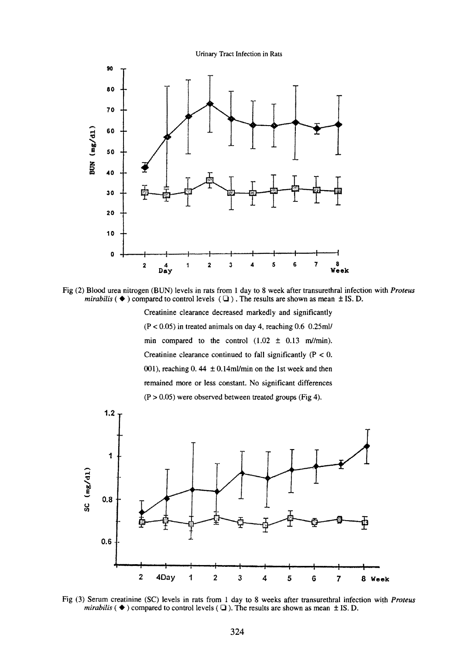Urinary Tract Infection in Rats



Fig (2) Blood urea nitrogen (BUN) levels in rats from I day to 8 week after transurethral infection with *Proteus mirabilis*  $(\blacklozenge)$  compared to control levels  $(\square)$ . The results are shown as mean  $\pm$  IS. D.

Creatinine clearance decreased markedly and significantly  $(P < 0.05)$  in treated animals on day 4, reaching 0.6 0.25ml/ min compared to the control  $(1.02 \pm 0.13 \text{ m/min})$ . Creatinine clearance continued to fall significantly  $(P < 0$ . 001), reaching 0. 44  $\pm$  0.14ml/min on the 1st week and then remained more or less constant. No significant differences  $(P > 0.05)$  were observed between treated groups (Fig 4).



Fig (3) Serum creatinine (SC) levels in rats from 1 day to 8 weeks after transurethral infection with *Proteus mirabilis*  $(\triangle)$  compared to control levels  $(\square)$ . The results are shown as mean  $\pm$  IS. D.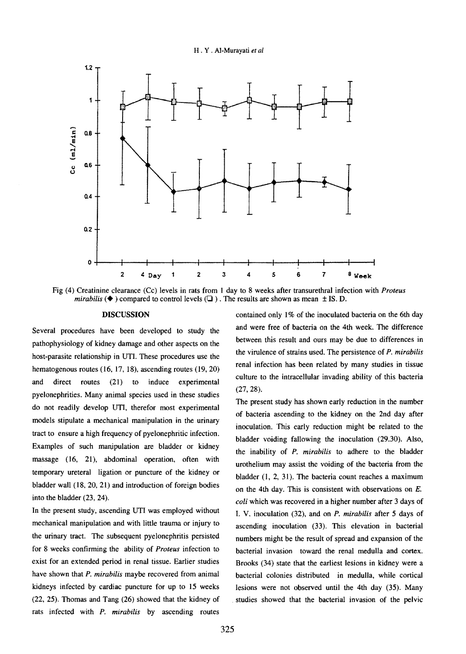H . Y . Al-Murayati *et al* 



Fig (4) Creatinine clearance (Cc) levels in rats from 1 day to 8 weeks after transurethral infection with *Proteus mirabilis*  $(\blacklozenge)$  compared to control levels  $(\square)$ . The results are shown as mean  $\pm$  IS. D.

#### DISCUSSION

Several procedures have been developed to study the pathophysiology of kidney damage and other aspects on the host-parasite relationship in UTI. These procedures use the hematogenous routes (16, 17, 18), ascending routes (19, 20) and direct routes (21) to induce experimental pyelonephrities. Many animal species used in these studies do not readily develop UTI, therefor most experimental models stipulate a mechanical manipulation in the urinary tract to ensure a high frequency of pyelonephritic infection. Examples of such manipulation are bladder or kidney massage (16, 21), abdominal operation, often with temporary ureteral ligation or puncture of the kidney or bladder wall (18, 20, 21) and introduction of foreign bodies into the bladder (23, 24).

In the present study, ascending UTI was employed without mechanical manipulation and with little trauma or injury to the urinary tract. The subsequent pyelonephritis persisted for 8 weeks confirming the ability of *Proteus* infection to exist for an extended period in renal tissue. Earlier studies have shown that *P. mirabilis* maybe recovered from animal kidneys infected by cardiac puncture for up to 15 weeks (22, 25). Thomas and Tang (26) showed that the kidney of rats infected with *P. mirabilis* by ascending routes

contained only I% of the inoculated bacteria on the 6th day and were free of bacteria on the 4th week. The difference between this result and ours may be due to differences in the virulence of strains used. The persistence of *P. mirabilis*  renal infection has been related by many studies in tissue culture to the intracellular invading ability of this bacteria (27, 28).

The present study has shown early reduction in the number of bacteria ascending to the kidney on the 2nd day after inoculation. This early reduction might be related to the bladder voiding fallowing the inoculation (29.30). Also, the inability of *P. mirabilis* to adhere to the bladder urothelium may assist the voiding of the bacteria from the bladder (1, 2, 31). The bacteria count reaches a maximum on the 4th day. This is consistent with observations on E. *coli* which was recovered in a higher number after 3 days of I. V. inoculation (32), and on *P. mirabilis* after 5 days of ascending inoculation (33). This elevation in bacterial numbers might be the result of spread and expansion of the bacterial invasion toward the renal medulla and cortex. Brooks (34) state that the earliest lesions in kidney were a bacterial colonies distributed in medulla, while cortical lesions were not observed until the 4th day (35). Many . studies showed that the bacterial invasion of the pelvic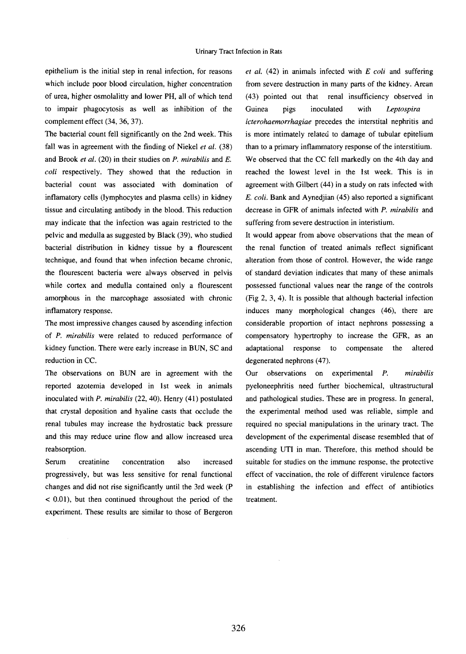epithelium is the initial step in renal infection, for reasons which include poor blood circulation, higher concentration of urea, higher osmolalitty and lower PH, all of which tend to impair phagocytosis as well as inhibition of the complement effect (34, 36, 37).

The bacterial count fell significantly on the 2nd week. This fall was in agreement with the finding of Niekel *et al.* (38) and Brook *et al.* (20) in their studies on *P. mirabilis* and *E. coli* respectively. They showed that the reduction in bacterial count was associated with domination of inflamatory cells (lymphocytes and plasma cells) in kidney tissue and circulating antibody in the blood. This reduction may indicate that the infection was again restricted to the pelvic and medulla as suggested by Black (39), who studied bacterial distribution in kidney tissue by a flourescent technique, and found that when infection became chronic, the flourescent bacteria were always observed in pelvis while cortex and medulla contained only a flourescent amorphous in the marcophage assosiated with chronic inflamatory response.

The most impressive changes caused by ascending infection of *P. mirabilis* were related to reduced performance of kidney function. There were early increase in BUN, SC and reduction in CC.

The observations on BUN are in agreement with the reported azotemia developed in 1st week in animals inoculated with *P. mirabilis* (22, 40). Henry (41) postulated that crystal deposition and hyaline casts that occlude the renal tubules may increase the hydrostatic back pressure and this may reduce urine flow and allow increased urea reabsorption.

Serum creatinine concentration also increased progressively, but was less sensitive for renal functional changes and did not rise significantly until the 3rd week (P < 0.01 ), but then continued throughout the period of the experiment. These results are similar to those of Bergeron

*et al.* ( 42) in animals infected with E *coli* and suffering from severe destruction in many parts of the kidney. Arean ( 43) pointed out that renal insufficiency observed in Guinea pigs inoculated with *Leptospira icterohaemorrhagiae* precedes the interstital nephritis and is more intimately related to damage of tubular epitelium than to a primary inflammatory response of the interstitium. We observed that the CC fell markedly on the 4th day and reached the lowest level in the lst week. This is in agreement with Gilbert (44) in a study on rats infected with *E. coli.* Bank and Aynedjian ( 45) also reported a significant decrease in GFR of animals infected with *P. mirabilis* and suffering from severe destruction in interistium.

It would appear from above observations that the mean of the renal function of treated animals reflect significant alteration from those of control. However, the wide range of standard deviation indicates that many of these animals possessed functional values near the range of the controls (Fig 2, 3, 4). It is possible that although bacterial infection induces many morphological changes (46), there are considerable proportion of intact nephrons possessing a compensatory hypertrophy to increase the GFR, as an adaptational response to compensate degenerated nephrons (47). altered

Our observations on experimental P. *mirabilis*  pyeloneephritis need further biochemical, ultrastructural and pathological studies. These are in progress. In general, the experimental method used was reliable, simple and required no special manipulations in the urinary tract. The development of the experimental disease resembled that of ascending UTI in man. Therefore, this method should be suitable for studies on the immune response, the protective effect of vaccination, the role of different virulence factors in establishing the infection and effect of antibiotics treatment.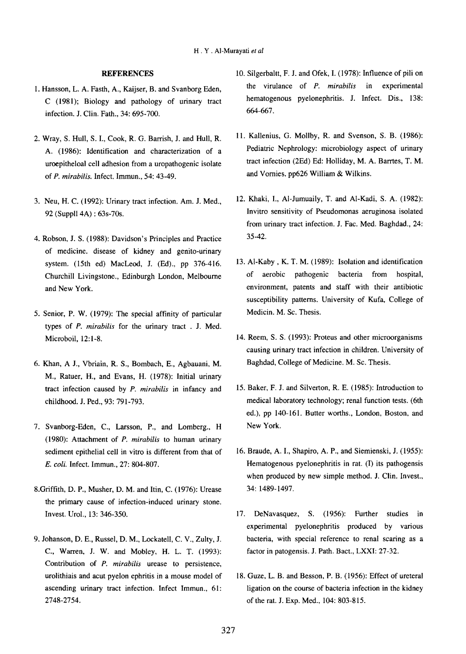## **REFERENCES**

- 1. Hansson, L. A. Fasth, A., Kaijser, B. and Svanborg Eden, C (1981); Biology and pathology of urinary tract infection. J. Clin. Fath., 34: 695-700.
- 2. Wray, S. Hull, S. 1., Cook, R. G. Barrish, J. and Hull, R. A. (1986}: Identification and characterization of a uroepitheloal cell adhesion from a uropathogenic isolate of P. *mirabilis.* Infect. Immun., 54: 43-49.
- 3. Neu, H. C. (1992): Urinary tract infection. Am. J. Med., 92 (Suppll 4A): 63s-70s.
- 4. Robson, J. S. (1988): Davidson's Principles and Practice of medicine. disease of kidney and genito-urinary system. (15th ed) MacLeod, J. (Ed)., pp 376-416. Churchill Livingstone., Edinburgh London, Melbourne and New York.
- 5. Senior, P. W. (1979): The special affinity of particular types of P. *mirabilis* for the urinary tract . J. Med. Microboil, 12: 1-8.
- 6. Khan, A J., Vbriain, R. S., Bombach, E., Agbauani, M. M., Ratuer, H., and Evans, H. (1978): Initial urinary tract infection caused by P. *mirabilis* in infancy and childhood. J. Ped., 93: 791-793.
- 7. Svanborg-Eden, C., Larsson, P., and Lomberg., H (1980): Attachment of P. *mirabilis* to human urinary sediment epithelial cell in vitro is different from that of E. *coli.* Infect. Immun., 27: 804-807.
- 8.Griffith, D. P., Musher, D. M. and Itin, C. (1976}: Urease the primary cause of infection-induced urinary stone. Invest. Urol., 13: 346-350.
- 9. Johanson, D. E., Russel, D. M., Lockatell, C. V., Zulty, J. C., Warren, J. W. and Mobley, H. L. T. (1993): Contribution of *P. mirabilis* urease to persistence, urolithiais and acut pyelon ephritis in a mouse model of ascending urinary tract infection. Infect Immun., 61: 2748-2754.
- 10. Silgerbaltt, F. J. and Ofek, I. ( 1978): Influence of pili on the virulance of *P. mirabilis* in experimental hematogenous pyelonephritis. J. Infect. Dis., 138: 664-667.
- 11. Kallenius, G. Mollby, R. and Svenson, S. B. (1986): Pediatric Nephrology: microbiology aspect of urinary tract infection (2Ed) Ed: Holliday, M.A. Barrtes, T. M. and Vornies. pp626 William & Wilkins.
- 12. Khaki, 1., AI-Jumuaily, T. and Al-Kadi, S. A. (1982): Invitro sensitivity of Pseudomonas aeruginosa isolated from urinary tract infection. J. Fac. Med. Baghdad., 24: 35-42.
- 13. Al-Kaby, K. T. M. (1989): Isolation and identification of aerobic pathogenic bacteria from hospital, environment, patents and staff with their antibiotic susceptibility patterns. University of Kufa, College of Medicin. M. Sc. Thesis.
- 14. Reem, S. S. (1993): Proteus and other microorganisms causing urinary tract infection in children. University of Baghdad, College of Medicine. M. Sc. Thesis.
- 15. Baker, F. J. and Silverton, R. E. ( 1985): Introduction to medical laboratory technology; renal function tests. (6th ed.), pp 140-161. Butter worths., London, Boston, and New York.
- 16. Braude, A. 1., Shapiro, A. P., and Siemienski, J. (1955): Hematogenous pyelonephritis in rat. (I) its pathogensis when produced by new simple method. J. Clin. Invest., 34: 1489-1497.
- 17. DeNavasquez, S. (1956): Further studies in experimental pyelonephritis produced by various bacteria, with special reference to renal scaring as a factor in patogensis. J. Path. Bact., LXXI: 27-32.
- 18. Guze, L. B. and Besson, P. B. ( 1956): Effect of ureteral ligation on the course of bacteria infection in the kidney of the rat. J. Exp. Med., 104: 803-815.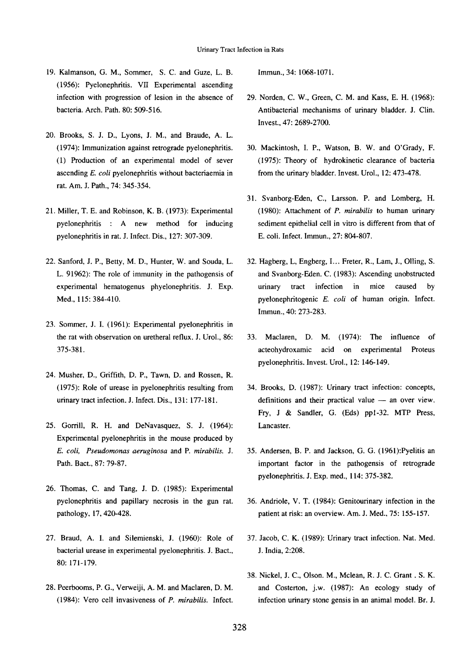- 19. Kalmanson, G. M., Sommer, S. C. and Guze, L. B. (1956): Pyelonephritis. VII Experimental ascending infection with progression of lesion in the absence of bacteria. Arch. Path. 80: 509-516.
- 20. Brooks, S. J. D., Lyons, J. M., and Braude, A. L. (1974): Immunization against retrograde pyelonephritis. (1) Production of an experimental model of sever ascending *E. coli* pyelonephritis without bacteriaemia in rat. Am. J. Path., 74: 345-354.
- 21. Miller, T. E. and Robinson, K. B. (1973): Experimental pyelonephritis : A new method for inducing pyelonephritis in rat. J. Infect. Dis., 127: 307-309.
- 22. Sanford, J.P., Betty, M.D., Hunter, W. and Souda, L. L. 91962): The role of immunity in the pathogensis of experimental hematogenus phyelonephritis. J. Exp. Med., 115: 384-410.
- 23. Sommer, J. I. (1961): Experimental pyelonephritis in the rat with observation on uretheral reflux. J. Urol., 86: 375-381.
- 24. Musher, D., Griffith, D. P., Tawn, D. and Rossen, R. (1975): Role of urease in pyelonephritis resulting from urinary tract infection. J. Infect. Dis., 131: 177-181.
- 25. Gorrill, R. H. and DeNavasquez, S. J. (1964): Experimental pyelonephritis in the mouse produced by *E. coli, Pseudomonas aeruginosa* and P. *mirabilis.* J. Path. Bact., 87: 79-87.
- 26. Thomas, C. and Tang, J. D. (1985): Experimental pyelonephritis and papillary necrosis in the gun rat. pathology, 17, 420-428.
- 27. Braud, A. I. and Silemienski, J. (1960): Role of bacterial urease in experimental pyelonephritis. J. Bact., 80: 171-179.
- 28. Peerbooms, P. G., Verweiji, A. M. and Maclaren, D. M. (1984): Vero cell invasiveness of *P. mirabilis.* Infect.

Immun., 34: 1068-1071.

- 29. Norden, C. W., Green, C. M. and Kass, E. H. (1968): Antibacterial mechanisms of urinary bladder. J. Clin. Invest., 47: 2689-2700.
- 30. Mackintosh, I. P., Watson, B. W. and O'Grady, F. ( 1975): Theory of hydrokinetic clearance of bacteria from the urinary bladder. Invest. Urol., 12: 473-478.
- 31. Svanborg-Eden, C., Larsson. P. and Lomberg, H. (1980): Attachment of *P. mirabilis* to human urinary sediment epithelial cell in vitro is different from that of E. coli. Infect. Immun., 27: 804-807.
- 32. Hagberg, L, Engberg, 1... Freter, R., Lam, J., Oiling, S. and Svanborg-Eden. C. (1983): Ascending unobstructed urinary tract infection in mice caused by pyelonephritogenic E. *coli* of human origin. Infect. Immun., 40:273-283.
- 33. Maclaren, D. M. (1974): The influence of acteohydroxamic acid on experimental Proteus pyelonephritis. Invest. Urol., 12: 146-149.
- 34. Brooks, D. (1987): Urinary tract infection: concepts, definitions and their practical value  $-$  an over view. Fry, J & Sandler, G. (Eds) ppl-32. MTP Press, Lancaster.
- 35. Andersen, B. P. and Jackson, G. G. (1961):Pyelitis an important factor in the pathogensis of retrograde pyelonephritis. J. Exp. med., 114: 375-382.
- 36. Andriole, V. T. (1984): Genitourinary infection in the patient at risk: an overview. Am. J. Med., 75: 155-157.
- 37. Jacob, C. K. (1989): Urinary tract infection. Nat. Med. J. India, 2:208.
- 38. Nickel, J. C., Olson. M., Mclean, R. J. C. Grant. S. K. and Costerton, j.w. (1987): An ecology study of infection urinary stone gensis in an animal model. Br. J.